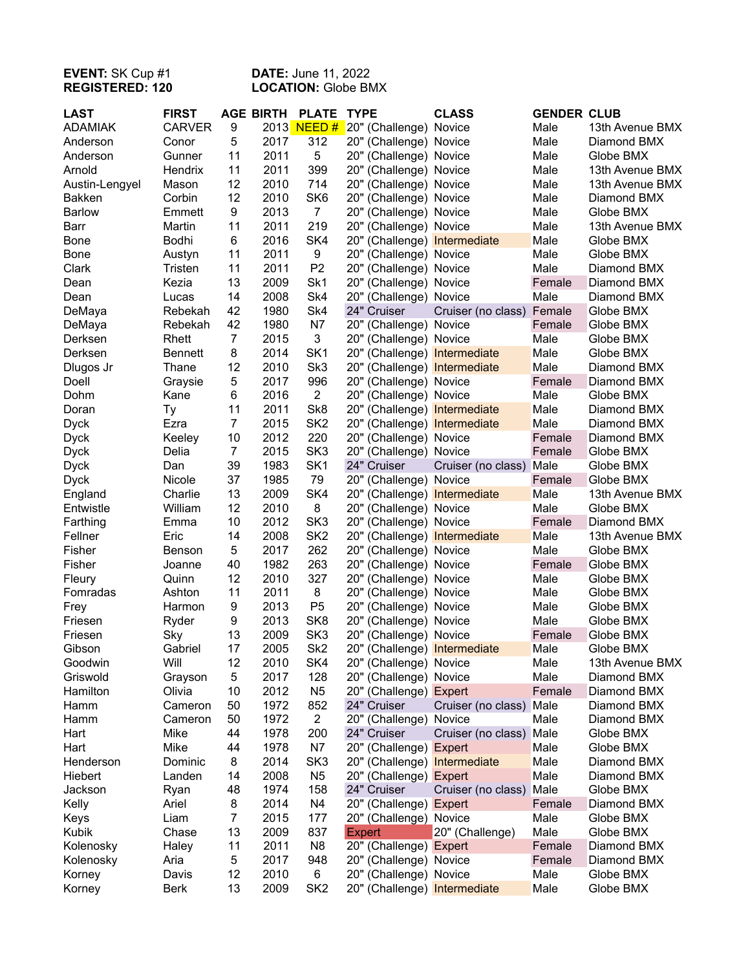## **EVENT:** SK Cup #1 **DATE:** June 11, 2022 **REGISTERED: 120 LOCATION:** Globe BMX

| <b>LAST</b>    | <b>FIRST</b>   |                | <b>AGE BIRTH</b> | <b>PLATE</b>    | <b>TYPE</b>                  | <b>CLASS</b>       | <b>GENDER CLUB</b> |                 |
|----------------|----------------|----------------|------------------|-----------------|------------------------------|--------------------|--------------------|-----------------|
| <b>ADAMIAK</b> | <b>CARVER</b>  | 9              |                  | 2013 NEED #     | 20" (Challenge) Novice       |                    | Male               | 13th Avenue BMX |
| Anderson       | Conor          | 5              | 2017             | 312             | 20" (Challenge) Novice       |                    | Male               | Diamond BMX     |
| Anderson       | Gunner         | 11             | 2011             | 5               | 20" (Challenge) Novice       |                    | Male               | Globe BMX       |
| Arnold         | Hendrix        | 11             | 2011             | 399             | 20" (Challenge) Novice       |                    | Male               | 13th Avenue BMX |
| Austin-Lengyel | Mason          | 12             | 2010             | 714             | 20" (Challenge) Novice       |                    | Male               | 13th Avenue BMX |
| <b>Bakken</b>  | Corbin         | 12             | 2010             | SK <sub>6</sub> | 20" (Challenge) Novice       |                    | Male               | Diamond BMX     |
| <b>Barlow</b>  | Emmett         | 9              | 2013             | $\overline{7}$  | 20" (Challenge) Novice       |                    | Male               | Globe BMX       |
| Barr           | Martin         | 11             | 2011             | 219             | 20" (Challenge) Novice       |                    | Male               | 13th Avenue BMX |
| <b>Bone</b>    | Bodhi          | 6              | 2016             | SK4             | 20" (Challenge) Intermediate |                    | Male               | Globe BMX       |
| <b>Bone</b>    | Austyn         | 11             | 2011             | 9               | 20" (Challenge) Novice       |                    | Male               | Globe BMX       |
| Clark          | Tristen        | 11             | 2011             | P <sub>2</sub>  | 20" (Challenge) Novice       |                    | Male               | Diamond BMX     |
| Dean           | Kezia          | 13             | 2009             | Sk1             | 20" (Challenge) Novice       |                    | Female             | Diamond BMX     |
| Dean           | Lucas          | 14             | 2008             | Sk4             | 20" (Challenge) Novice       |                    | Male               | Diamond BMX     |
| DeMaya         | Rebekah        | 42             | 1980             | Sk4             | 24" Cruiser                  | Cruiser (no class) | Female             | Globe BMX       |
| DeMaya         | Rebekah        | 42             | 1980             | N7              | 20" (Challenge) Novice       |                    | Female             | Globe BMX       |
| Derksen        | Rhett          | $\overline{7}$ | 2015             | 3               | 20" (Challenge) Novice       |                    | Male               | Globe BMX       |
| Derksen        | <b>Bennett</b> | 8              | 2014             | SK <sub>1</sub> | 20" (Challenge) Intermediate |                    | Male               | Globe BMX       |
| Dlugos Jr      | Thane          | 12             | 2010             | Sk3             | 20" (Challenge) Intermediate |                    | Male               | Diamond BMX     |
| Doell          | Graysie        | 5              | 2017             | 996             | 20" (Challenge) Novice       |                    | Female             | Diamond BMX     |
| Dohm           | Kane           | 6              | 2016             | $\overline{2}$  | 20" (Challenge) Novice       |                    | Male               | Globe BMX       |
| Doran          | Тy             | 11             | 2011             | Sk8             | 20" (Challenge) Intermediate |                    | Male               | Diamond BMX     |
| <b>Dyck</b>    | Ezra           | $\overline{7}$ | 2015             | SK <sub>2</sub> | 20" (Challenge) Intermediate |                    | Male               | Diamond BMX     |
| <b>Dyck</b>    | Keeley         | 10             | 2012             | 220             | 20" (Challenge) Novice       |                    | Female             | Diamond BMX     |
| <b>Dyck</b>    | Delia          | $\overline{7}$ | 2015             | SK <sub>3</sub> | 20" (Challenge) Novice       |                    | Female             | Globe BMX       |
| <b>Dyck</b>    | Dan            | 39             | 1983             | SK <sub>1</sub> | 24" Cruiser                  | Cruiser (no class) | Male               | Globe BMX       |
| <b>Dyck</b>    | Nicole         | 37             | 1985             | 79              | 20" (Challenge) Novice       |                    | Female             | Globe BMX       |
| England        | Charlie        | 13             | 2009             | SK4             | 20" (Challenge) Intermediate |                    | Male               | 13th Avenue BMX |
| Entwistle      | William        | 12             | 2010             | 8               | 20" (Challenge) Novice       |                    | Male               | Globe BMX       |
| Farthing       | Emma           | 10             | 2012             | SK <sub>3</sub> | 20" (Challenge) Novice       |                    | Female             | Diamond BMX     |
| Fellner        | Eric           | 14             | 2008             | SK <sub>2</sub> | 20" (Challenge) Intermediate |                    | Male               | 13th Avenue BMX |
| Fisher         | Benson         | 5              | 2017             | 262             | 20" (Challenge) Novice       |                    | Male               | Globe BMX       |
| Fisher         | Joanne         | 40             | 1982             | 263             | 20" (Challenge) Novice       |                    | Female             | Globe BMX       |
| Fleury         | Quinn          | 12             | 2010             | 327             | 20" (Challenge) Novice       |                    | Male               | Globe BMX       |
| Fomradas       | Ashton         | 11             | 2011             | 8               | 20" (Challenge) Novice       |                    | Male               | Globe BMX       |
| Frey           | Harmon         | 9              | 2013             | P <sub>5</sub>  | 20" (Challenge) Novice       |                    | Male               | Globe BMX       |
| Friesen        | Ryder          | 9              | 2013             | SK <sub>8</sub> | 20" (Challenge) Novice       |                    | Male               | Globe BMX       |
| Friesen        | Sky            | 13             | 2009             | SK <sub>3</sub> | 20" (Challenge) Novice       |                    | Female             | Globe BMX       |
| Gibson         | Gabriel        | 17             | 2005             | Sk <sub>2</sub> | 20" (Challenge) Intermediate |                    | Male               | Globe BMX       |
| Goodwin        | Will           | 12             | 2010             | SK4             | 20" (Challenge) Novice       |                    | Male               | 13th Avenue BMX |
| Griswold       | Grayson        | 5              | 2017             | 128             | 20" (Challenge) Novice       |                    | Male               | Diamond BMX     |
| Hamilton       | Olivia         | 10             | 2012             | N <sub>5</sub>  | 20" (Challenge) Expert       |                    | Female             | Diamond BMX     |
| Hamm           | Cameron        | 50             | 1972             | 852             | 24" Cruiser                  | Cruiser (no class) | Male               | Diamond BMX     |
| Hamm           | Cameron        | 50             | 1972             | $\overline{c}$  | 20" (Challenge) Novice       |                    | Male               | Diamond BMX     |
| Hart           | Mike           | 44             | 1978             | 200             | 24" Cruiser                  | Cruiser (no class) | Male               | Globe BMX       |
| Hart           | Mike           | 44             | 1978             | N7              | 20" (Challenge) Expert       |                    | Male               | Globe BMX       |
| Henderson      | Dominic        | 8              | 2014             | SK <sub>3</sub> | 20" (Challenge) Intermediate |                    | Male               | Diamond BMX     |
| Hiebert        | Landen         | 14             | 2008             | N <sub>5</sub>  | 20" (Challenge) Expert       |                    | Male               | Diamond BMX     |
| Jackson        | Ryan           | 48             | 1974             | 158             | 24" Cruiser                  | Cruiser (no class) | Male               | Globe BMX       |
| Kelly          | Ariel          | 8              | 2014             | N4              | 20" (Challenge) Expert       |                    | Female             | Diamond BMX     |
| Keys           | Liam           | $\overline{7}$ | 2015             | 177             | 20" (Challenge) Novice       |                    | Male               | Globe BMX       |
| Kubik          | Chase          | 13             | 2009             | 837             | <b>Expert</b>                | 20" (Challenge)    | Male               | Globe BMX       |
| Kolenosky      | Haley          | 11             | 2011             | N <sub>8</sub>  | 20" (Challenge) Expert       |                    | Female             | Diamond BMX     |
| Kolenosky      | Aria           | 5              | 2017             | 948             | 20" (Challenge) Novice       |                    | Female             | Diamond BMX     |
| Korney         | Davis          | 12             | 2010             | 6               | 20" (Challenge) Novice       |                    | Male               | Globe BMX       |
| Korney         | <b>Berk</b>    | 13             | 2009             | SK <sub>2</sub> | 20" (Challenge) Intermediate |                    | Male               | Globe BMX       |
|                |                |                |                  |                 |                              |                    |                    |                 |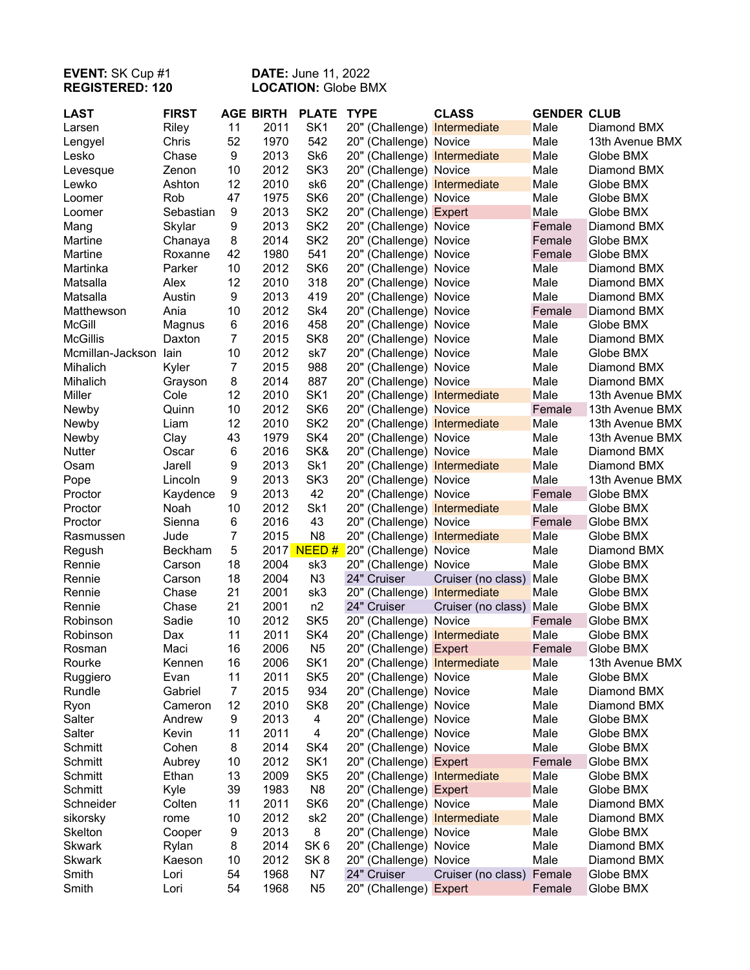## **EVENT:** SK Cup #1 **DATE:** June 11, 2022 **REGISTERED: 120 LOCATION:** Globe BMX

| SK <sub>1</sub><br>2011<br>Riley<br>11<br>20" (Challenge) Intermediate<br>Male<br>Diamond BMX<br>Larsen<br>Chris<br>52<br>1970<br>542<br>Male<br>20" (Challenge) Novice<br>13th Avenue BMX<br>Lengyel<br>9<br>2013<br>Sk <sub>6</sub><br>Male<br>Chase<br>20" (Challenge) Intermediate<br>Globe BMX<br>Lesko<br>2012<br>SK <sub>3</sub><br>Zenon<br>10<br>20" (Challenge) Novice<br>Male<br>Diamond BMX<br>Levesque<br>12<br>2010<br>Male<br>Ashton<br>sk6<br>20" (Challenge) Intermediate<br>Globe BMX<br>Lewko<br>47<br>1975<br>SK <sub>6</sub><br>Rob<br>20" (Challenge) Novice<br>Male<br>Globe BMX<br>Loomer<br>2013<br>SK <sub>2</sub><br>Male<br>Sebastian<br>9<br>20" (Challenge) Expert<br>Globe BMX<br>Loomer<br>2013<br>SK <sub>2</sub><br>Skylar<br>9<br>20" (Challenge) Novice<br>Female<br>Diamond BMX<br>Mang<br>2014<br>SK <sub>2</sub><br>Martine<br>Chanaya<br>8<br>20" (Challenge) Novice<br>Female<br>Globe BMX<br>1980<br>541<br>Martine<br>Roxanne<br>42<br>20" (Challenge) Novice<br>Female<br>Globe BMX<br>SK <sub>6</sub><br>10<br>2012<br>Martinka<br>Parker<br>20" (Challenge) Novice<br>Male<br>Diamond BMX<br>12<br>2010<br>Matsalla<br>Alex<br>318<br>20" (Challenge) Novice<br>Male<br>Diamond BMX<br>9<br>2013<br>419<br>Male<br>Matsalla<br>Austin<br>20" (Challenge) Novice<br>Diamond BMX<br>Ania<br>2012<br>Sk4<br>Matthewson<br>10<br>20" (Challenge) Novice<br>Female<br>Diamond BMX<br><b>McGill</b><br>2016<br>458<br>6<br>20" (Challenge) Novice<br>Male<br>Globe BMX<br>Magnus<br>$\overline{7}$<br><b>McGillis</b><br>SK <sub>8</sub><br>Daxton<br>2015<br>20" (Challenge) Novice<br>Male<br>Diamond BMX<br>2012<br>Mcmillan-Jackson lain<br>10<br>sk7<br>20" (Challenge) Novice<br>Male<br>Globe BMX<br>$\overline{7}$<br>2015<br>988<br>Kyler<br>20" (Challenge) Novice<br>Male<br>Diamond BMX<br>Mihalich<br>887<br>Mihalich<br>8<br>2014<br>20" (Challenge) Novice<br>Male<br>Diamond BMX<br>Grayson<br>Miller<br>12<br>2010<br>SK <sub>1</sub><br>Cole<br>20" (Challenge) Intermediate<br>Male<br>13th Avenue BMX<br>2012<br>SK <sub>6</sub><br>Quinn<br>10<br>20" (Challenge) Novice<br>Female<br>13th Avenue BMX<br>Newby<br>12<br>2010<br>SK <sub>2</sub><br>Liam<br>20" (Challenge) Intermediate<br>Male<br>Newby<br>13th Avenue BMX<br>SK4<br>43<br>1979<br>Clay<br>20" (Challenge) Novice<br>Male<br>13th Avenue BMX<br>Newby<br>SK&<br>2016<br>Male<br>Nutter<br>6<br>20" (Challenge) Novice<br>Diamond BMX<br>Oscar<br>9<br>2013<br>Sk1<br>Male<br>Jarell<br>20" (Challenge) Intermediate<br>Diamond BMX<br>Osam<br>SK <sub>3</sub><br>9<br>2013<br>Male<br>Lincoln<br>20" (Challenge) Novice<br>13th Avenue BMX<br>Pope<br>42<br>9<br>2013<br>Proctor<br>Kaydence<br>20" (Challenge) Novice<br>Female<br>Globe BMX<br>2012<br>Sk1<br>Male<br>Noah<br>10<br>20" (Challenge) Intermediate<br>Globe BMX<br>Proctor<br>6<br>2016<br>43<br>Sienna<br>20" (Challenge) Novice<br>Female<br>Globe BMX<br>Proctor<br>$\overline{7}$<br>N <sub>8</sub><br>2015<br>Male<br>Jude<br>20" (Challenge) Intermediate<br>Globe BMX<br>Rasmussen<br>5<br>2017 NEED #<br>Beckham<br>20" (Challenge) Novice<br>Male<br>Diamond BMX<br>Regush<br>18<br>2004<br>Rennie<br>sk3<br>20" (Challenge) Novice<br>Male<br>Globe BMX<br>Carson<br>18<br>2004<br>N <sub>3</sub><br>24" Cruiser<br>Rennie<br>Carson<br>Male<br>Globe BMX<br>Cruiser (no class)<br>21<br>2001<br>Rennie<br>Chase<br>sk3<br>20" (Challenge) Intermediate<br>Male<br>Globe BMX<br>21<br>2001<br>n2<br>24" Cruiser<br>Rennie<br>Chase<br>Male<br>Globe BMX<br>Cruiser (no class)<br>Sadie<br>10<br>2012<br>SK <sub>5</sub><br>Robinson<br>20" (Challenge) Novice<br>Globe BMX<br>Female<br>2011<br>11<br>SK4<br>Male<br>Robinson<br>Dax<br>20" (Challenge) Intermediate<br>Globe BMX<br>2006<br>16<br>N <sub>5</sub><br>20" (Challenge) Expert<br>Maci<br>Female<br>Globe BMX<br>Rosman<br>SK <sub>1</sub><br>Rourke<br>2006<br>20" (Challenge) Intermediate<br>Male<br>13th Avenue BMX<br>Kennen<br>16<br>11<br>SK <sub>5</sub><br>Evan<br>2011<br>20" (Challenge) Novice<br>Male<br>Globe BMX<br>Ruggiero<br>$\overline{7}$<br>934<br>Rundle<br>Gabriel<br>2015<br>20" (Challenge) Novice<br>Male<br>Diamond BMX<br>12<br>2010<br>SK <sub>8</sub><br>20" (Challenge) Novice<br>Male<br>Diamond BMX<br>Ryon<br>Cameron<br>Salter<br>Andrew<br>9<br>2013<br>4<br>20" (Challenge) Novice<br>Male<br>Globe BMX<br>2011<br>Salter<br>Kevin<br>11<br>4<br>20" (Challenge) Novice<br>Male<br>Globe BMX<br>Schmitt<br>2014<br>20" (Challenge) Novice<br>Cohen<br>8<br>SK4<br>Male<br>Globe BMX<br>Schmitt<br>10<br>2012<br>SK <sub>1</sub><br>20" (Challenge) Expert<br>Female<br>Aubrey<br>Globe BMX<br>13<br>2009<br>SK <sub>5</sub><br>20" (Challenge) Intermediate<br>Schmitt<br>Ethan<br>Male<br>Globe BMX<br>39<br>1983<br>N <sub>8</sub><br>Male<br>Schmitt<br>Kyle<br>20" (Challenge) Expert<br>Globe BMX<br>2011<br>SK <sub>6</sub><br>Schneider<br>Colten<br>11<br>20" (Challenge) Novice<br>Male<br>Diamond BMX<br>2012<br>sk <sub>2</sub><br>10<br>20" (Challenge) Intermediate<br>Male<br>sikorsky<br>rome<br>Diamond BMX<br>2013<br>8<br>Skelton<br>9<br>20" (Challenge) Novice<br>Male<br>Globe BMX<br>Cooper<br>SK <sub>6</sub><br><b>Skwark</b><br>8<br>2014<br>20" (Challenge) Novice<br>Male<br>Rylan<br>Diamond BMX<br>SK <sub>8</sub><br><b>Skwark</b><br>10<br>2012<br>20" (Challenge) Novice<br>Male<br>Kaeson<br>Diamond BMX<br>N7<br>Smith<br>54<br>1968<br>24" Cruiser<br>Cruiser (no class) Female<br>Globe BMX<br>Lori | <b>LAST</b> | <b>FIRST</b> | <b>AGE BIRTH</b> | <b>PLATE</b> | <b>TYPE</b> | <b>CLASS</b> | <b>GENDER CLUB</b> |  |
|---------------------------------------------------------------------------------------------------------------------------------------------------------------------------------------------------------------------------------------------------------------------------------------------------------------------------------------------------------------------------------------------------------------------------------------------------------------------------------------------------------------------------------------------------------------------------------------------------------------------------------------------------------------------------------------------------------------------------------------------------------------------------------------------------------------------------------------------------------------------------------------------------------------------------------------------------------------------------------------------------------------------------------------------------------------------------------------------------------------------------------------------------------------------------------------------------------------------------------------------------------------------------------------------------------------------------------------------------------------------------------------------------------------------------------------------------------------------------------------------------------------------------------------------------------------------------------------------------------------------------------------------------------------------------------------------------------------------------------------------------------------------------------------------------------------------------------------------------------------------------------------------------------------------------------------------------------------------------------------------------------------------------------------------------------------------------------------------------------------------------------------------------------------------------------------------------------------------------------------------------------------------------------------------------------------------------------------------------------------------------------------------------------------------------------------------------------------------------------------------------------------------------------------------------------------------------------------------------------------------------------------------------------------------------------------------------------------------------------------------------------------------------------------------------------------------------------------------------------------------------------------------------------------------------------------------------------------------------------------------------------------------------------------------------------------------------------------------------------------------------------------------------------------------------------------------------------------------------------------------------------------------------------------------------------------------------------------------------------------------------------------------------------------------------------------------------------------------------------------------------------------------------------------------------------------------------------------------------------------------------------------------------------------------------------------------------------------------------------------------------------------------------------------------------------------------------------------------------------------------------------------------------------------------------------------------------------------------------------------------------------------------------------------------------------------------------------------------------------------------------------------------------------------------------------------------------------------------------------------------------------------------------------------------------------------------------------------------------------------------------------------------------------------------------------------------------------------------------------------------------------------------------------------------------------------------------------------------------------------------------------------------------------------------------------------------------------------------------------------------------------------------------------------------------------------------------------------------------------------------------------------------------------------------------------------------------------------------------------------------------------------------------------------------------------------------------------------------------------------------------------------------------------------------------------------------------------------------------------------------------------------------------------------------------------------------------------------------------------------------------------------------------------------------------------------------------------------------------------------------------------------------------------------------------|-------------|--------------|------------------|--------------|-------------|--------------|--------------------|--|
|                                                                                                                                                                                                                                                                                                                                                                                                                                                                                                                                                                                                                                                                                                                                                                                                                                                                                                                                                                                                                                                                                                                                                                                                                                                                                                                                                                                                                                                                                                                                                                                                                                                                                                                                                                                                                                                                                                                                                                                                                                                                                                                                                                                                                                                                                                                                                                                                                                                                                                                                                                                                                                                                                                                                                                                                                                                                                                                                                                                                                                                                                                                                                                                                                                                                                                                                                                                                                                                                                                                                                                                                                                                                                                                                                                                                                                                                                                                                                                                                                                                                                                                                                                                                                                                                                                                                                                                                                                                                                                                                                                                                                                                                                                                                                                                                                                                                                                                                                                                                                                                                                                                                                                                                                                                                                                                                                                                                                                                                                                                                                   |             |              |                  |              |             |              |                    |  |
|                                                                                                                                                                                                                                                                                                                                                                                                                                                                                                                                                                                                                                                                                                                                                                                                                                                                                                                                                                                                                                                                                                                                                                                                                                                                                                                                                                                                                                                                                                                                                                                                                                                                                                                                                                                                                                                                                                                                                                                                                                                                                                                                                                                                                                                                                                                                                                                                                                                                                                                                                                                                                                                                                                                                                                                                                                                                                                                                                                                                                                                                                                                                                                                                                                                                                                                                                                                                                                                                                                                                                                                                                                                                                                                                                                                                                                                                                                                                                                                                                                                                                                                                                                                                                                                                                                                                                                                                                                                                                                                                                                                                                                                                                                                                                                                                                                                                                                                                                                                                                                                                                                                                                                                                                                                                                                                                                                                                                                                                                                                                                   |             |              |                  |              |             |              |                    |  |
|                                                                                                                                                                                                                                                                                                                                                                                                                                                                                                                                                                                                                                                                                                                                                                                                                                                                                                                                                                                                                                                                                                                                                                                                                                                                                                                                                                                                                                                                                                                                                                                                                                                                                                                                                                                                                                                                                                                                                                                                                                                                                                                                                                                                                                                                                                                                                                                                                                                                                                                                                                                                                                                                                                                                                                                                                                                                                                                                                                                                                                                                                                                                                                                                                                                                                                                                                                                                                                                                                                                                                                                                                                                                                                                                                                                                                                                                                                                                                                                                                                                                                                                                                                                                                                                                                                                                                                                                                                                                                                                                                                                                                                                                                                                                                                                                                                                                                                                                                                                                                                                                                                                                                                                                                                                                                                                                                                                                                                                                                                                                                   |             |              |                  |              |             |              |                    |  |
|                                                                                                                                                                                                                                                                                                                                                                                                                                                                                                                                                                                                                                                                                                                                                                                                                                                                                                                                                                                                                                                                                                                                                                                                                                                                                                                                                                                                                                                                                                                                                                                                                                                                                                                                                                                                                                                                                                                                                                                                                                                                                                                                                                                                                                                                                                                                                                                                                                                                                                                                                                                                                                                                                                                                                                                                                                                                                                                                                                                                                                                                                                                                                                                                                                                                                                                                                                                                                                                                                                                                                                                                                                                                                                                                                                                                                                                                                                                                                                                                                                                                                                                                                                                                                                                                                                                                                                                                                                                                                                                                                                                                                                                                                                                                                                                                                                                                                                                                                                                                                                                                                                                                                                                                                                                                                                                                                                                                                                                                                                                                                   |             |              |                  |              |             |              |                    |  |
|                                                                                                                                                                                                                                                                                                                                                                                                                                                                                                                                                                                                                                                                                                                                                                                                                                                                                                                                                                                                                                                                                                                                                                                                                                                                                                                                                                                                                                                                                                                                                                                                                                                                                                                                                                                                                                                                                                                                                                                                                                                                                                                                                                                                                                                                                                                                                                                                                                                                                                                                                                                                                                                                                                                                                                                                                                                                                                                                                                                                                                                                                                                                                                                                                                                                                                                                                                                                                                                                                                                                                                                                                                                                                                                                                                                                                                                                                                                                                                                                                                                                                                                                                                                                                                                                                                                                                                                                                                                                                                                                                                                                                                                                                                                                                                                                                                                                                                                                                                                                                                                                                                                                                                                                                                                                                                                                                                                                                                                                                                                                                   |             |              |                  |              |             |              |                    |  |
|                                                                                                                                                                                                                                                                                                                                                                                                                                                                                                                                                                                                                                                                                                                                                                                                                                                                                                                                                                                                                                                                                                                                                                                                                                                                                                                                                                                                                                                                                                                                                                                                                                                                                                                                                                                                                                                                                                                                                                                                                                                                                                                                                                                                                                                                                                                                                                                                                                                                                                                                                                                                                                                                                                                                                                                                                                                                                                                                                                                                                                                                                                                                                                                                                                                                                                                                                                                                                                                                                                                                                                                                                                                                                                                                                                                                                                                                                                                                                                                                                                                                                                                                                                                                                                                                                                                                                                                                                                                                                                                                                                                                                                                                                                                                                                                                                                                                                                                                                                                                                                                                                                                                                                                                                                                                                                                                                                                                                                                                                                                                                   |             |              |                  |              |             |              |                    |  |
|                                                                                                                                                                                                                                                                                                                                                                                                                                                                                                                                                                                                                                                                                                                                                                                                                                                                                                                                                                                                                                                                                                                                                                                                                                                                                                                                                                                                                                                                                                                                                                                                                                                                                                                                                                                                                                                                                                                                                                                                                                                                                                                                                                                                                                                                                                                                                                                                                                                                                                                                                                                                                                                                                                                                                                                                                                                                                                                                                                                                                                                                                                                                                                                                                                                                                                                                                                                                                                                                                                                                                                                                                                                                                                                                                                                                                                                                                                                                                                                                                                                                                                                                                                                                                                                                                                                                                                                                                                                                                                                                                                                                                                                                                                                                                                                                                                                                                                                                                                                                                                                                                                                                                                                                                                                                                                                                                                                                                                                                                                                                                   |             |              |                  |              |             |              |                    |  |
|                                                                                                                                                                                                                                                                                                                                                                                                                                                                                                                                                                                                                                                                                                                                                                                                                                                                                                                                                                                                                                                                                                                                                                                                                                                                                                                                                                                                                                                                                                                                                                                                                                                                                                                                                                                                                                                                                                                                                                                                                                                                                                                                                                                                                                                                                                                                                                                                                                                                                                                                                                                                                                                                                                                                                                                                                                                                                                                                                                                                                                                                                                                                                                                                                                                                                                                                                                                                                                                                                                                                                                                                                                                                                                                                                                                                                                                                                                                                                                                                                                                                                                                                                                                                                                                                                                                                                                                                                                                                                                                                                                                                                                                                                                                                                                                                                                                                                                                                                                                                                                                                                                                                                                                                                                                                                                                                                                                                                                                                                                                                                   |             |              |                  |              |             |              |                    |  |
|                                                                                                                                                                                                                                                                                                                                                                                                                                                                                                                                                                                                                                                                                                                                                                                                                                                                                                                                                                                                                                                                                                                                                                                                                                                                                                                                                                                                                                                                                                                                                                                                                                                                                                                                                                                                                                                                                                                                                                                                                                                                                                                                                                                                                                                                                                                                                                                                                                                                                                                                                                                                                                                                                                                                                                                                                                                                                                                                                                                                                                                                                                                                                                                                                                                                                                                                                                                                                                                                                                                                                                                                                                                                                                                                                                                                                                                                                                                                                                                                                                                                                                                                                                                                                                                                                                                                                                                                                                                                                                                                                                                                                                                                                                                                                                                                                                                                                                                                                                                                                                                                                                                                                                                                                                                                                                                                                                                                                                                                                                                                                   |             |              |                  |              |             |              |                    |  |
|                                                                                                                                                                                                                                                                                                                                                                                                                                                                                                                                                                                                                                                                                                                                                                                                                                                                                                                                                                                                                                                                                                                                                                                                                                                                                                                                                                                                                                                                                                                                                                                                                                                                                                                                                                                                                                                                                                                                                                                                                                                                                                                                                                                                                                                                                                                                                                                                                                                                                                                                                                                                                                                                                                                                                                                                                                                                                                                                                                                                                                                                                                                                                                                                                                                                                                                                                                                                                                                                                                                                                                                                                                                                                                                                                                                                                                                                                                                                                                                                                                                                                                                                                                                                                                                                                                                                                                                                                                                                                                                                                                                                                                                                                                                                                                                                                                                                                                                                                                                                                                                                                                                                                                                                                                                                                                                                                                                                                                                                                                                                                   |             |              |                  |              |             |              |                    |  |
|                                                                                                                                                                                                                                                                                                                                                                                                                                                                                                                                                                                                                                                                                                                                                                                                                                                                                                                                                                                                                                                                                                                                                                                                                                                                                                                                                                                                                                                                                                                                                                                                                                                                                                                                                                                                                                                                                                                                                                                                                                                                                                                                                                                                                                                                                                                                                                                                                                                                                                                                                                                                                                                                                                                                                                                                                                                                                                                                                                                                                                                                                                                                                                                                                                                                                                                                                                                                                                                                                                                                                                                                                                                                                                                                                                                                                                                                                                                                                                                                                                                                                                                                                                                                                                                                                                                                                                                                                                                                                                                                                                                                                                                                                                                                                                                                                                                                                                                                                                                                                                                                                                                                                                                                                                                                                                                                                                                                                                                                                                                                                   |             |              |                  |              |             |              |                    |  |
|                                                                                                                                                                                                                                                                                                                                                                                                                                                                                                                                                                                                                                                                                                                                                                                                                                                                                                                                                                                                                                                                                                                                                                                                                                                                                                                                                                                                                                                                                                                                                                                                                                                                                                                                                                                                                                                                                                                                                                                                                                                                                                                                                                                                                                                                                                                                                                                                                                                                                                                                                                                                                                                                                                                                                                                                                                                                                                                                                                                                                                                                                                                                                                                                                                                                                                                                                                                                                                                                                                                                                                                                                                                                                                                                                                                                                                                                                                                                                                                                                                                                                                                                                                                                                                                                                                                                                                                                                                                                                                                                                                                                                                                                                                                                                                                                                                                                                                                                                                                                                                                                                                                                                                                                                                                                                                                                                                                                                                                                                                                                                   |             |              |                  |              |             |              |                    |  |
|                                                                                                                                                                                                                                                                                                                                                                                                                                                                                                                                                                                                                                                                                                                                                                                                                                                                                                                                                                                                                                                                                                                                                                                                                                                                                                                                                                                                                                                                                                                                                                                                                                                                                                                                                                                                                                                                                                                                                                                                                                                                                                                                                                                                                                                                                                                                                                                                                                                                                                                                                                                                                                                                                                                                                                                                                                                                                                                                                                                                                                                                                                                                                                                                                                                                                                                                                                                                                                                                                                                                                                                                                                                                                                                                                                                                                                                                                                                                                                                                                                                                                                                                                                                                                                                                                                                                                                                                                                                                                                                                                                                                                                                                                                                                                                                                                                                                                                                                                                                                                                                                                                                                                                                                                                                                                                                                                                                                                                                                                                                                                   |             |              |                  |              |             |              |                    |  |
|                                                                                                                                                                                                                                                                                                                                                                                                                                                                                                                                                                                                                                                                                                                                                                                                                                                                                                                                                                                                                                                                                                                                                                                                                                                                                                                                                                                                                                                                                                                                                                                                                                                                                                                                                                                                                                                                                                                                                                                                                                                                                                                                                                                                                                                                                                                                                                                                                                                                                                                                                                                                                                                                                                                                                                                                                                                                                                                                                                                                                                                                                                                                                                                                                                                                                                                                                                                                                                                                                                                                                                                                                                                                                                                                                                                                                                                                                                                                                                                                                                                                                                                                                                                                                                                                                                                                                                                                                                                                                                                                                                                                                                                                                                                                                                                                                                                                                                                                                                                                                                                                                                                                                                                                                                                                                                                                                                                                                                                                                                                                                   |             |              |                  |              |             |              |                    |  |
|                                                                                                                                                                                                                                                                                                                                                                                                                                                                                                                                                                                                                                                                                                                                                                                                                                                                                                                                                                                                                                                                                                                                                                                                                                                                                                                                                                                                                                                                                                                                                                                                                                                                                                                                                                                                                                                                                                                                                                                                                                                                                                                                                                                                                                                                                                                                                                                                                                                                                                                                                                                                                                                                                                                                                                                                                                                                                                                                                                                                                                                                                                                                                                                                                                                                                                                                                                                                                                                                                                                                                                                                                                                                                                                                                                                                                                                                                                                                                                                                                                                                                                                                                                                                                                                                                                                                                                                                                                                                                                                                                                                                                                                                                                                                                                                                                                                                                                                                                                                                                                                                                                                                                                                                                                                                                                                                                                                                                                                                                                                                                   |             |              |                  |              |             |              |                    |  |
|                                                                                                                                                                                                                                                                                                                                                                                                                                                                                                                                                                                                                                                                                                                                                                                                                                                                                                                                                                                                                                                                                                                                                                                                                                                                                                                                                                                                                                                                                                                                                                                                                                                                                                                                                                                                                                                                                                                                                                                                                                                                                                                                                                                                                                                                                                                                                                                                                                                                                                                                                                                                                                                                                                                                                                                                                                                                                                                                                                                                                                                                                                                                                                                                                                                                                                                                                                                                                                                                                                                                                                                                                                                                                                                                                                                                                                                                                                                                                                                                                                                                                                                                                                                                                                                                                                                                                                                                                                                                                                                                                                                                                                                                                                                                                                                                                                                                                                                                                                                                                                                                                                                                                                                                                                                                                                                                                                                                                                                                                                                                                   |             |              |                  |              |             |              |                    |  |
|                                                                                                                                                                                                                                                                                                                                                                                                                                                                                                                                                                                                                                                                                                                                                                                                                                                                                                                                                                                                                                                                                                                                                                                                                                                                                                                                                                                                                                                                                                                                                                                                                                                                                                                                                                                                                                                                                                                                                                                                                                                                                                                                                                                                                                                                                                                                                                                                                                                                                                                                                                                                                                                                                                                                                                                                                                                                                                                                                                                                                                                                                                                                                                                                                                                                                                                                                                                                                                                                                                                                                                                                                                                                                                                                                                                                                                                                                                                                                                                                                                                                                                                                                                                                                                                                                                                                                                                                                                                                                                                                                                                                                                                                                                                                                                                                                                                                                                                                                                                                                                                                                                                                                                                                                                                                                                                                                                                                                                                                                                                                                   |             |              |                  |              |             |              |                    |  |
|                                                                                                                                                                                                                                                                                                                                                                                                                                                                                                                                                                                                                                                                                                                                                                                                                                                                                                                                                                                                                                                                                                                                                                                                                                                                                                                                                                                                                                                                                                                                                                                                                                                                                                                                                                                                                                                                                                                                                                                                                                                                                                                                                                                                                                                                                                                                                                                                                                                                                                                                                                                                                                                                                                                                                                                                                                                                                                                                                                                                                                                                                                                                                                                                                                                                                                                                                                                                                                                                                                                                                                                                                                                                                                                                                                                                                                                                                                                                                                                                                                                                                                                                                                                                                                                                                                                                                                                                                                                                                                                                                                                                                                                                                                                                                                                                                                                                                                                                                                                                                                                                                                                                                                                                                                                                                                                                                                                                                                                                                                                                                   |             |              |                  |              |             |              |                    |  |
|                                                                                                                                                                                                                                                                                                                                                                                                                                                                                                                                                                                                                                                                                                                                                                                                                                                                                                                                                                                                                                                                                                                                                                                                                                                                                                                                                                                                                                                                                                                                                                                                                                                                                                                                                                                                                                                                                                                                                                                                                                                                                                                                                                                                                                                                                                                                                                                                                                                                                                                                                                                                                                                                                                                                                                                                                                                                                                                                                                                                                                                                                                                                                                                                                                                                                                                                                                                                                                                                                                                                                                                                                                                                                                                                                                                                                                                                                                                                                                                                                                                                                                                                                                                                                                                                                                                                                                                                                                                                                                                                                                                                                                                                                                                                                                                                                                                                                                                                                                                                                                                                                                                                                                                                                                                                                                                                                                                                                                                                                                                                                   |             |              |                  |              |             |              |                    |  |
|                                                                                                                                                                                                                                                                                                                                                                                                                                                                                                                                                                                                                                                                                                                                                                                                                                                                                                                                                                                                                                                                                                                                                                                                                                                                                                                                                                                                                                                                                                                                                                                                                                                                                                                                                                                                                                                                                                                                                                                                                                                                                                                                                                                                                                                                                                                                                                                                                                                                                                                                                                                                                                                                                                                                                                                                                                                                                                                                                                                                                                                                                                                                                                                                                                                                                                                                                                                                                                                                                                                                                                                                                                                                                                                                                                                                                                                                                                                                                                                                                                                                                                                                                                                                                                                                                                                                                                                                                                                                                                                                                                                                                                                                                                                                                                                                                                                                                                                                                                                                                                                                                                                                                                                                                                                                                                                                                                                                                                                                                                                                                   |             |              |                  |              |             |              |                    |  |
|                                                                                                                                                                                                                                                                                                                                                                                                                                                                                                                                                                                                                                                                                                                                                                                                                                                                                                                                                                                                                                                                                                                                                                                                                                                                                                                                                                                                                                                                                                                                                                                                                                                                                                                                                                                                                                                                                                                                                                                                                                                                                                                                                                                                                                                                                                                                                                                                                                                                                                                                                                                                                                                                                                                                                                                                                                                                                                                                                                                                                                                                                                                                                                                                                                                                                                                                                                                                                                                                                                                                                                                                                                                                                                                                                                                                                                                                                                                                                                                                                                                                                                                                                                                                                                                                                                                                                                                                                                                                                                                                                                                                                                                                                                                                                                                                                                                                                                                                                                                                                                                                                                                                                                                                                                                                                                                                                                                                                                                                                                                                                   |             |              |                  |              |             |              |                    |  |
|                                                                                                                                                                                                                                                                                                                                                                                                                                                                                                                                                                                                                                                                                                                                                                                                                                                                                                                                                                                                                                                                                                                                                                                                                                                                                                                                                                                                                                                                                                                                                                                                                                                                                                                                                                                                                                                                                                                                                                                                                                                                                                                                                                                                                                                                                                                                                                                                                                                                                                                                                                                                                                                                                                                                                                                                                                                                                                                                                                                                                                                                                                                                                                                                                                                                                                                                                                                                                                                                                                                                                                                                                                                                                                                                                                                                                                                                                                                                                                                                                                                                                                                                                                                                                                                                                                                                                                                                                                                                                                                                                                                                                                                                                                                                                                                                                                                                                                                                                                                                                                                                                                                                                                                                                                                                                                                                                                                                                                                                                                                                                   |             |              |                  |              |             |              |                    |  |
|                                                                                                                                                                                                                                                                                                                                                                                                                                                                                                                                                                                                                                                                                                                                                                                                                                                                                                                                                                                                                                                                                                                                                                                                                                                                                                                                                                                                                                                                                                                                                                                                                                                                                                                                                                                                                                                                                                                                                                                                                                                                                                                                                                                                                                                                                                                                                                                                                                                                                                                                                                                                                                                                                                                                                                                                                                                                                                                                                                                                                                                                                                                                                                                                                                                                                                                                                                                                                                                                                                                                                                                                                                                                                                                                                                                                                                                                                                                                                                                                                                                                                                                                                                                                                                                                                                                                                                                                                                                                                                                                                                                                                                                                                                                                                                                                                                                                                                                                                                                                                                                                                                                                                                                                                                                                                                                                                                                                                                                                                                                                                   |             |              |                  |              |             |              |                    |  |
|                                                                                                                                                                                                                                                                                                                                                                                                                                                                                                                                                                                                                                                                                                                                                                                                                                                                                                                                                                                                                                                                                                                                                                                                                                                                                                                                                                                                                                                                                                                                                                                                                                                                                                                                                                                                                                                                                                                                                                                                                                                                                                                                                                                                                                                                                                                                                                                                                                                                                                                                                                                                                                                                                                                                                                                                                                                                                                                                                                                                                                                                                                                                                                                                                                                                                                                                                                                                                                                                                                                                                                                                                                                                                                                                                                                                                                                                                                                                                                                                                                                                                                                                                                                                                                                                                                                                                                                                                                                                                                                                                                                                                                                                                                                                                                                                                                                                                                                                                                                                                                                                                                                                                                                                                                                                                                                                                                                                                                                                                                                                                   |             |              |                  |              |             |              |                    |  |
|                                                                                                                                                                                                                                                                                                                                                                                                                                                                                                                                                                                                                                                                                                                                                                                                                                                                                                                                                                                                                                                                                                                                                                                                                                                                                                                                                                                                                                                                                                                                                                                                                                                                                                                                                                                                                                                                                                                                                                                                                                                                                                                                                                                                                                                                                                                                                                                                                                                                                                                                                                                                                                                                                                                                                                                                                                                                                                                                                                                                                                                                                                                                                                                                                                                                                                                                                                                                                                                                                                                                                                                                                                                                                                                                                                                                                                                                                                                                                                                                                                                                                                                                                                                                                                                                                                                                                                                                                                                                                                                                                                                                                                                                                                                                                                                                                                                                                                                                                                                                                                                                                                                                                                                                                                                                                                                                                                                                                                                                                                                                                   |             |              |                  |              |             |              |                    |  |
|                                                                                                                                                                                                                                                                                                                                                                                                                                                                                                                                                                                                                                                                                                                                                                                                                                                                                                                                                                                                                                                                                                                                                                                                                                                                                                                                                                                                                                                                                                                                                                                                                                                                                                                                                                                                                                                                                                                                                                                                                                                                                                                                                                                                                                                                                                                                                                                                                                                                                                                                                                                                                                                                                                                                                                                                                                                                                                                                                                                                                                                                                                                                                                                                                                                                                                                                                                                                                                                                                                                                                                                                                                                                                                                                                                                                                                                                                                                                                                                                                                                                                                                                                                                                                                                                                                                                                                                                                                                                                                                                                                                                                                                                                                                                                                                                                                                                                                                                                                                                                                                                                                                                                                                                                                                                                                                                                                                                                                                                                                                                                   |             |              |                  |              |             |              |                    |  |
|                                                                                                                                                                                                                                                                                                                                                                                                                                                                                                                                                                                                                                                                                                                                                                                                                                                                                                                                                                                                                                                                                                                                                                                                                                                                                                                                                                                                                                                                                                                                                                                                                                                                                                                                                                                                                                                                                                                                                                                                                                                                                                                                                                                                                                                                                                                                                                                                                                                                                                                                                                                                                                                                                                                                                                                                                                                                                                                                                                                                                                                                                                                                                                                                                                                                                                                                                                                                                                                                                                                                                                                                                                                                                                                                                                                                                                                                                                                                                                                                                                                                                                                                                                                                                                                                                                                                                                                                                                                                                                                                                                                                                                                                                                                                                                                                                                                                                                                                                                                                                                                                                                                                                                                                                                                                                                                                                                                                                                                                                                                                                   |             |              |                  |              |             |              |                    |  |
|                                                                                                                                                                                                                                                                                                                                                                                                                                                                                                                                                                                                                                                                                                                                                                                                                                                                                                                                                                                                                                                                                                                                                                                                                                                                                                                                                                                                                                                                                                                                                                                                                                                                                                                                                                                                                                                                                                                                                                                                                                                                                                                                                                                                                                                                                                                                                                                                                                                                                                                                                                                                                                                                                                                                                                                                                                                                                                                                                                                                                                                                                                                                                                                                                                                                                                                                                                                                                                                                                                                                                                                                                                                                                                                                                                                                                                                                                                                                                                                                                                                                                                                                                                                                                                                                                                                                                                                                                                                                                                                                                                                                                                                                                                                                                                                                                                                                                                                                                                                                                                                                                                                                                                                                                                                                                                                                                                                                                                                                                                                                                   |             |              |                  |              |             |              |                    |  |
|                                                                                                                                                                                                                                                                                                                                                                                                                                                                                                                                                                                                                                                                                                                                                                                                                                                                                                                                                                                                                                                                                                                                                                                                                                                                                                                                                                                                                                                                                                                                                                                                                                                                                                                                                                                                                                                                                                                                                                                                                                                                                                                                                                                                                                                                                                                                                                                                                                                                                                                                                                                                                                                                                                                                                                                                                                                                                                                                                                                                                                                                                                                                                                                                                                                                                                                                                                                                                                                                                                                                                                                                                                                                                                                                                                                                                                                                                                                                                                                                                                                                                                                                                                                                                                                                                                                                                                                                                                                                                                                                                                                                                                                                                                                                                                                                                                                                                                                                                                                                                                                                                                                                                                                                                                                                                                                                                                                                                                                                                                                                                   |             |              |                  |              |             |              |                    |  |
|                                                                                                                                                                                                                                                                                                                                                                                                                                                                                                                                                                                                                                                                                                                                                                                                                                                                                                                                                                                                                                                                                                                                                                                                                                                                                                                                                                                                                                                                                                                                                                                                                                                                                                                                                                                                                                                                                                                                                                                                                                                                                                                                                                                                                                                                                                                                                                                                                                                                                                                                                                                                                                                                                                                                                                                                                                                                                                                                                                                                                                                                                                                                                                                                                                                                                                                                                                                                                                                                                                                                                                                                                                                                                                                                                                                                                                                                                                                                                                                                                                                                                                                                                                                                                                                                                                                                                                                                                                                                                                                                                                                                                                                                                                                                                                                                                                                                                                                                                                                                                                                                                                                                                                                                                                                                                                                                                                                                                                                                                                                                                   |             |              |                  |              |             |              |                    |  |
|                                                                                                                                                                                                                                                                                                                                                                                                                                                                                                                                                                                                                                                                                                                                                                                                                                                                                                                                                                                                                                                                                                                                                                                                                                                                                                                                                                                                                                                                                                                                                                                                                                                                                                                                                                                                                                                                                                                                                                                                                                                                                                                                                                                                                                                                                                                                                                                                                                                                                                                                                                                                                                                                                                                                                                                                                                                                                                                                                                                                                                                                                                                                                                                                                                                                                                                                                                                                                                                                                                                                                                                                                                                                                                                                                                                                                                                                                                                                                                                                                                                                                                                                                                                                                                                                                                                                                                                                                                                                                                                                                                                                                                                                                                                                                                                                                                                                                                                                                                                                                                                                                                                                                                                                                                                                                                                                                                                                                                                                                                                                                   |             |              |                  |              |             |              |                    |  |
|                                                                                                                                                                                                                                                                                                                                                                                                                                                                                                                                                                                                                                                                                                                                                                                                                                                                                                                                                                                                                                                                                                                                                                                                                                                                                                                                                                                                                                                                                                                                                                                                                                                                                                                                                                                                                                                                                                                                                                                                                                                                                                                                                                                                                                                                                                                                                                                                                                                                                                                                                                                                                                                                                                                                                                                                                                                                                                                                                                                                                                                                                                                                                                                                                                                                                                                                                                                                                                                                                                                                                                                                                                                                                                                                                                                                                                                                                                                                                                                                                                                                                                                                                                                                                                                                                                                                                                                                                                                                                                                                                                                                                                                                                                                                                                                                                                                                                                                                                                                                                                                                                                                                                                                                                                                                                                                                                                                                                                                                                                                                                   |             |              |                  |              |             |              |                    |  |
|                                                                                                                                                                                                                                                                                                                                                                                                                                                                                                                                                                                                                                                                                                                                                                                                                                                                                                                                                                                                                                                                                                                                                                                                                                                                                                                                                                                                                                                                                                                                                                                                                                                                                                                                                                                                                                                                                                                                                                                                                                                                                                                                                                                                                                                                                                                                                                                                                                                                                                                                                                                                                                                                                                                                                                                                                                                                                                                                                                                                                                                                                                                                                                                                                                                                                                                                                                                                                                                                                                                                                                                                                                                                                                                                                                                                                                                                                                                                                                                                                                                                                                                                                                                                                                                                                                                                                                                                                                                                                                                                                                                                                                                                                                                                                                                                                                                                                                                                                                                                                                                                                                                                                                                                                                                                                                                                                                                                                                                                                                                                                   |             |              |                  |              |             |              |                    |  |
|                                                                                                                                                                                                                                                                                                                                                                                                                                                                                                                                                                                                                                                                                                                                                                                                                                                                                                                                                                                                                                                                                                                                                                                                                                                                                                                                                                                                                                                                                                                                                                                                                                                                                                                                                                                                                                                                                                                                                                                                                                                                                                                                                                                                                                                                                                                                                                                                                                                                                                                                                                                                                                                                                                                                                                                                                                                                                                                                                                                                                                                                                                                                                                                                                                                                                                                                                                                                                                                                                                                                                                                                                                                                                                                                                                                                                                                                                                                                                                                                                                                                                                                                                                                                                                                                                                                                                                                                                                                                                                                                                                                                                                                                                                                                                                                                                                                                                                                                                                                                                                                                                                                                                                                                                                                                                                                                                                                                                                                                                                                                                   |             |              |                  |              |             |              |                    |  |
|                                                                                                                                                                                                                                                                                                                                                                                                                                                                                                                                                                                                                                                                                                                                                                                                                                                                                                                                                                                                                                                                                                                                                                                                                                                                                                                                                                                                                                                                                                                                                                                                                                                                                                                                                                                                                                                                                                                                                                                                                                                                                                                                                                                                                                                                                                                                                                                                                                                                                                                                                                                                                                                                                                                                                                                                                                                                                                                                                                                                                                                                                                                                                                                                                                                                                                                                                                                                                                                                                                                                                                                                                                                                                                                                                                                                                                                                                                                                                                                                                                                                                                                                                                                                                                                                                                                                                                                                                                                                                                                                                                                                                                                                                                                                                                                                                                                                                                                                                                                                                                                                                                                                                                                                                                                                                                                                                                                                                                                                                                                                                   |             |              |                  |              |             |              |                    |  |
|                                                                                                                                                                                                                                                                                                                                                                                                                                                                                                                                                                                                                                                                                                                                                                                                                                                                                                                                                                                                                                                                                                                                                                                                                                                                                                                                                                                                                                                                                                                                                                                                                                                                                                                                                                                                                                                                                                                                                                                                                                                                                                                                                                                                                                                                                                                                                                                                                                                                                                                                                                                                                                                                                                                                                                                                                                                                                                                                                                                                                                                                                                                                                                                                                                                                                                                                                                                                                                                                                                                                                                                                                                                                                                                                                                                                                                                                                                                                                                                                                                                                                                                                                                                                                                                                                                                                                                                                                                                                                                                                                                                                                                                                                                                                                                                                                                                                                                                                                                                                                                                                                                                                                                                                                                                                                                                                                                                                                                                                                                                                                   |             |              |                  |              |             |              |                    |  |
|                                                                                                                                                                                                                                                                                                                                                                                                                                                                                                                                                                                                                                                                                                                                                                                                                                                                                                                                                                                                                                                                                                                                                                                                                                                                                                                                                                                                                                                                                                                                                                                                                                                                                                                                                                                                                                                                                                                                                                                                                                                                                                                                                                                                                                                                                                                                                                                                                                                                                                                                                                                                                                                                                                                                                                                                                                                                                                                                                                                                                                                                                                                                                                                                                                                                                                                                                                                                                                                                                                                                                                                                                                                                                                                                                                                                                                                                                                                                                                                                                                                                                                                                                                                                                                                                                                                                                                                                                                                                                                                                                                                                                                                                                                                                                                                                                                                                                                                                                                                                                                                                                                                                                                                                                                                                                                                                                                                                                                                                                                                                                   |             |              |                  |              |             |              |                    |  |
|                                                                                                                                                                                                                                                                                                                                                                                                                                                                                                                                                                                                                                                                                                                                                                                                                                                                                                                                                                                                                                                                                                                                                                                                                                                                                                                                                                                                                                                                                                                                                                                                                                                                                                                                                                                                                                                                                                                                                                                                                                                                                                                                                                                                                                                                                                                                                                                                                                                                                                                                                                                                                                                                                                                                                                                                                                                                                                                                                                                                                                                                                                                                                                                                                                                                                                                                                                                                                                                                                                                                                                                                                                                                                                                                                                                                                                                                                                                                                                                                                                                                                                                                                                                                                                                                                                                                                                                                                                                                                                                                                                                                                                                                                                                                                                                                                                                                                                                                                                                                                                                                                                                                                                                                                                                                                                                                                                                                                                                                                                                                                   |             |              |                  |              |             |              |                    |  |
|                                                                                                                                                                                                                                                                                                                                                                                                                                                                                                                                                                                                                                                                                                                                                                                                                                                                                                                                                                                                                                                                                                                                                                                                                                                                                                                                                                                                                                                                                                                                                                                                                                                                                                                                                                                                                                                                                                                                                                                                                                                                                                                                                                                                                                                                                                                                                                                                                                                                                                                                                                                                                                                                                                                                                                                                                                                                                                                                                                                                                                                                                                                                                                                                                                                                                                                                                                                                                                                                                                                                                                                                                                                                                                                                                                                                                                                                                                                                                                                                                                                                                                                                                                                                                                                                                                                                                                                                                                                                                                                                                                                                                                                                                                                                                                                                                                                                                                                                                                                                                                                                                                                                                                                                                                                                                                                                                                                                                                                                                                                                                   |             |              |                  |              |             |              |                    |  |
|                                                                                                                                                                                                                                                                                                                                                                                                                                                                                                                                                                                                                                                                                                                                                                                                                                                                                                                                                                                                                                                                                                                                                                                                                                                                                                                                                                                                                                                                                                                                                                                                                                                                                                                                                                                                                                                                                                                                                                                                                                                                                                                                                                                                                                                                                                                                                                                                                                                                                                                                                                                                                                                                                                                                                                                                                                                                                                                                                                                                                                                                                                                                                                                                                                                                                                                                                                                                                                                                                                                                                                                                                                                                                                                                                                                                                                                                                                                                                                                                                                                                                                                                                                                                                                                                                                                                                                                                                                                                                                                                                                                                                                                                                                                                                                                                                                                                                                                                                                                                                                                                                                                                                                                                                                                                                                                                                                                                                                                                                                                                                   |             |              |                  |              |             |              |                    |  |
|                                                                                                                                                                                                                                                                                                                                                                                                                                                                                                                                                                                                                                                                                                                                                                                                                                                                                                                                                                                                                                                                                                                                                                                                                                                                                                                                                                                                                                                                                                                                                                                                                                                                                                                                                                                                                                                                                                                                                                                                                                                                                                                                                                                                                                                                                                                                                                                                                                                                                                                                                                                                                                                                                                                                                                                                                                                                                                                                                                                                                                                                                                                                                                                                                                                                                                                                                                                                                                                                                                                                                                                                                                                                                                                                                                                                                                                                                                                                                                                                                                                                                                                                                                                                                                                                                                                                                                                                                                                                                                                                                                                                                                                                                                                                                                                                                                                                                                                                                                                                                                                                                                                                                                                                                                                                                                                                                                                                                                                                                                                                                   |             |              |                  |              |             |              |                    |  |
|                                                                                                                                                                                                                                                                                                                                                                                                                                                                                                                                                                                                                                                                                                                                                                                                                                                                                                                                                                                                                                                                                                                                                                                                                                                                                                                                                                                                                                                                                                                                                                                                                                                                                                                                                                                                                                                                                                                                                                                                                                                                                                                                                                                                                                                                                                                                                                                                                                                                                                                                                                                                                                                                                                                                                                                                                                                                                                                                                                                                                                                                                                                                                                                                                                                                                                                                                                                                                                                                                                                                                                                                                                                                                                                                                                                                                                                                                                                                                                                                                                                                                                                                                                                                                                                                                                                                                                                                                                                                                                                                                                                                                                                                                                                                                                                                                                                                                                                                                                                                                                                                                                                                                                                                                                                                                                                                                                                                                                                                                                                                                   |             |              |                  |              |             |              |                    |  |
|                                                                                                                                                                                                                                                                                                                                                                                                                                                                                                                                                                                                                                                                                                                                                                                                                                                                                                                                                                                                                                                                                                                                                                                                                                                                                                                                                                                                                                                                                                                                                                                                                                                                                                                                                                                                                                                                                                                                                                                                                                                                                                                                                                                                                                                                                                                                                                                                                                                                                                                                                                                                                                                                                                                                                                                                                                                                                                                                                                                                                                                                                                                                                                                                                                                                                                                                                                                                                                                                                                                                                                                                                                                                                                                                                                                                                                                                                                                                                                                                                                                                                                                                                                                                                                                                                                                                                                                                                                                                                                                                                                                                                                                                                                                                                                                                                                                                                                                                                                                                                                                                                                                                                                                                                                                                                                                                                                                                                                                                                                                                                   |             |              |                  |              |             |              |                    |  |
|                                                                                                                                                                                                                                                                                                                                                                                                                                                                                                                                                                                                                                                                                                                                                                                                                                                                                                                                                                                                                                                                                                                                                                                                                                                                                                                                                                                                                                                                                                                                                                                                                                                                                                                                                                                                                                                                                                                                                                                                                                                                                                                                                                                                                                                                                                                                                                                                                                                                                                                                                                                                                                                                                                                                                                                                                                                                                                                                                                                                                                                                                                                                                                                                                                                                                                                                                                                                                                                                                                                                                                                                                                                                                                                                                                                                                                                                                                                                                                                                                                                                                                                                                                                                                                                                                                                                                                                                                                                                                                                                                                                                                                                                                                                                                                                                                                                                                                                                                                                                                                                                                                                                                                                                                                                                                                                                                                                                                                                                                                                                                   |             |              |                  |              |             |              |                    |  |
|                                                                                                                                                                                                                                                                                                                                                                                                                                                                                                                                                                                                                                                                                                                                                                                                                                                                                                                                                                                                                                                                                                                                                                                                                                                                                                                                                                                                                                                                                                                                                                                                                                                                                                                                                                                                                                                                                                                                                                                                                                                                                                                                                                                                                                                                                                                                                                                                                                                                                                                                                                                                                                                                                                                                                                                                                                                                                                                                                                                                                                                                                                                                                                                                                                                                                                                                                                                                                                                                                                                                                                                                                                                                                                                                                                                                                                                                                                                                                                                                                                                                                                                                                                                                                                                                                                                                                                                                                                                                                                                                                                                                                                                                                                                                                                                                                                                                                                                                                                                                                                                                                                                                                                                                                                                                                                                                                                                                                                                                                                                                                   |             |              |                  |              |             |              |                    |  |
|                                                                                                                                                                                                                                                                                                                                                                                                                                                                                                                                                                                                                                                                                                                                                                                                                                                                                                                                                                                                                                                                                                                                                                                                                                                                                                                                                                                                                                                                                                                                                                                                                                                                                                                                                                                                                                                                                                                                                                                                                                                                                                                                                                                                                                                                                                                                                                                                                                                                                                                                                                                                                                                                                                                                                                                                                                                                                                                                                                                                                                                                                                                                                                                                                                                                                                                                                                                                                                                                                                                                                                                                                                                                                                                                                                                                                                                                                                                                                                                                                                                                                                                                                                                                                                                                                                                                                                                                                                                                                                                                                                                                                                                                                                                                                                                                                                                                                                                                                                                                                                                                                                                                                                                                                                                                                                                                                                                                                                                                                                                                                   |             |              |                  |              |             |              |                    |  |
|                                                                                                                                                                                                                                                                                                                                                                                                                                                                                                                                                                                                                                                                                                                                                                                                                                                                                                                                                                                                                                                                                                                                                                                                                                                                                                                                                                                                                                                                                                                                                                                                                                                                                                                                                                                                                                                                                                                                                                                                                                                                                                                                                                                                                                                                                                                                                                                                                                                                                                                                                                                                                                                                                                                                                                                                                                                                                                                                                                                                                                                                                                                                                                                                                                                                                                                                                                                                                                                                                                                                                                                                                                                                                                                                                                                                                                                                                                                                                                                                                                                                                                                                                                                                                                                                                                                                                                                                                                                                                                                                                                                                                                                                                                                                                                                                                                                                                                                                                                                                                                                                                                                                                                                                                                                                                                                                                                                                                                                                                                                                                   |             |              |                  |              |             |              |                    |  |
|                                                                                                                                                                                                                                                                                                                                                                                                                                                                                                                                                                                                                                                                                                                                                                                                                                                                                                                                                                                                                                                                                                                                                                                                                                                                                                                                                                                                                                                                                                                                                                                                                                                                                                                                                                                                                                                                                                                                                                                                                                                                                                                                                                                                                                                                                                                                                                                                                                                                                                                                                                                                                                                                                                                                                                                                                                                                                                                                                                                                                                                                                                                                                                                                                                                                                                                                                                                                                                                                                                                                                                                                                                                                                                                                                                                                                                                                                                                                                                                                                                                                                                                                                                                                                                                                                                                                                                                                                                                                                                                                                                                                                                                                                                                                                                                                                                                                                                                                                                                                                                                                                                                                                                                                                                                                                                                                                                                                                                                                                                                                                   |             |              |                  |              |             |              |                    |  |
|                                                                                                                                                                                                                                                                                                                                                                                                                                                                                                                                                                                                                                                                                                                                                                                                                                                                                                                                                                                                                                                                                                                                                                                                                                                                                                                                                                                                                                                                                                                                                                                                                                                                                                                                                                                                                                                                                                                                                                                                                                                                                                                                                                                                                                                                                                                                                                                                                                                                                                                                                                                                                                                                                                                                                                                                                                                                                                                                                                                                                                                                                                                                                                                                                                                                                                                                                                                                                                                                                                                                                                                                                                                                                                                                                                                                                                                                                                                                                                                                                                                                                                                                                                                                                                                                                                                                                                                                                                                                                                                                                                                                                                                                                                                                                                                                                                                                                                                                                                                                                                                                                                                                                                                                                                                                                                                                                                                                                                                                                                                                                   |             |              |                  |              |             |              |                    |  |
|                                                                                                                                                                                                                                                                                                                                                                                                                                                                                                                                                                                                                                                                                                                                                                                                                                                                                                                                                                                                                                                                                                                                                                                                                                                                                                                                                                                                                                                                                                                                                                                                                                                                                                                                                                                                                                                                                                                                                                                                                                                                                                                                                                                                                                                                                                                                                                                                                                                                                                                                                                                                                                                                                                                                                                                                                                                                                                                                                                                                                                                                                                                                                                                                                                                                                                                                                                                                                                                                                                                                                                                                                                                                                                                                                                                                                                                                                                                                                                                                                                                                                                                                                                                                                                                                                                                                                                                                                                                                                                                                                                                                                                                                                                                                                                                                                                                                                                                                                                                                                                                                                                                                                                                                                                                                                                                                                                                                                                                                                                                                                   |             |              |                  |              |             |              |                    |  |
|                                                                                                                                                                                                                                                                                                                                                                                                                                                                                                                                                                                                                                                                                                                                                                                                                                                                                                                                                                                                                                                                                                                                                                                                                                                                                                                                                                                                                                                                                                                                                                                                                                                                                                                                                                                                                                                                                                                                                                                                                                                                                                                                                                                                                                                                                                                                                                                                                                                                                                                                                                                                                                                                                                                                                                                                                                                                                                                                                                                                                                                                                                                                                                                                                                                                                                                                                                                                                                                                                                                                                                                                                                                                                                                                                                                                                                                                                                                                                                                                                                                                                                                                                                                                                                                                                                                                                                                                                                                                                                                                                                                                                                                                                                                                                                                                                                                                                                                                                                                                                                                                                                                                                                                                                                                                                                                                                                                                                                                                                                                                                   |             |              |                  |              |             |              |                    |  |
|                                                                                                                                                                                                                                                                                                                                                                                                                                                                                                                                                                                                                                                                                                                                                                                                                                                                                                                                                                                                                                                                                                                                                                                                                                                                                                                                                                                                                                                                                                                                                                                                                                                                                                                                                                                                                                                                                                                                                                                                                                                                                                                                                                                                                                                                                                                                                                                                                                                                                                                                                                                                                                                                                                                                                                                                                                                                                                                                                                                                                                                                                                                                                                                                                                                                                                                                                                                                                                                                                                                                                                                                                                                                                                                                                                                                                                                                                                                                                                                                                                                                                                                                                                                                                                                                                                                                                                                                                                                                                                                                                                                                                                                                                                                                                                                                                                                                                                                                                                                                                                                                                                                                                                                                                                                                                                                                                                                                                                                                                                                                                   |             |              |                  |              |             |              |                    |  |
|                                                                                                                                                                                                                                                                                                                                                                                                                                                                                                                                                                                                                                                                                                                                                                                                                                                                                                                                                                                                                                                                                                                                                                                                                                                                                                                                                                                                                                                                                                                                                                                                                                                                                                                                                                                                                                                                                                                                                                                                                                                                                                                                                                                                                                                                                                                                                                                                                                                                                                                                                                                                                                                                                                                                                                                                                                                                                                                                                                                                                                                                                                                                                                                                                                                                                                                                                                                                                                                                                                                                                                                                                                                                                                                                                                                                                                                                                                                                                                                                                                                                                                                                                                                                                                                                                                                                                                                                                                                                                                                                                                                                                                                                                                                                                                                                                                                                                                                                                                                                                                                                                                                                                                                                                                                                                                                                                                                                                                                                                                                                                   |             |              |                  |              |             |              |                    |  |
|                                                                                                                                                                                                                                                                                                                                                                                                                                                                                                                                                                                                                                                                                                                                                                                                                                                                                                                                                                                                                                                                                                                                                                                                                                                                                                                                                                                                                                                                                                                                                                                                                                                                                                                                                                                                                                                                                                                                                                                                                                                                                                                                                                                                                                                                                                                                                                                                                                                                                                                                                                                                                                                                                                                                                                                                                                                                                                                                                                                                                                                                                                                                                                                                                                                                                                                                                                                                                                                                                                                                                                                                                                                                                                                                                                                                                                                                                                                                                                                                                                                                                                                                                                                                                                                                                                                                                                                                                                                                                                                                                                                                                                                                                                                                                                                                                                                                                                                                                                                                                                                                                                                                                                                                                                                                                                                                                                                                                                                                                                                                                   |             |              |                  |              |             |              |                    |  |
| Smith<br>N <sub>5</sub><br>20" (Challenge) Expert<br>54<br>1968<br>Female<br>Globe BMX<br>Lori                                                                                                                                                                                                                                                                                                                                                                                                                                                                                                                                                                                                                                                                                                                                                                                                                                                                                                                                                                                                                                                                                                                                                                                                                                                                                                                                                                                                                                                                                                                                                                                                                                                                                                                                                                                                                                                                                                                                                                                                                                                                                                                                                                                                                                                                                                                                                                                                                                                                                                                                                                                                                                                                                                                                                                                                                                                                                                                                                                                                                                                                                                                                                                                                                                                                                                                                                                                                                                                                                                                                                                                                                                                                                                                                                                                                                                                                                                                                                                                                                                                                                                                                                                                                                                                                                                                                                                                                                                                                                                                                                                                                                                                                                                                                                                                                                                                                                                                                                                                                                                                                                                                                                                                                                                                                                                                                                                                                                                                    |             |              |                  |              |             |              |                    |  |